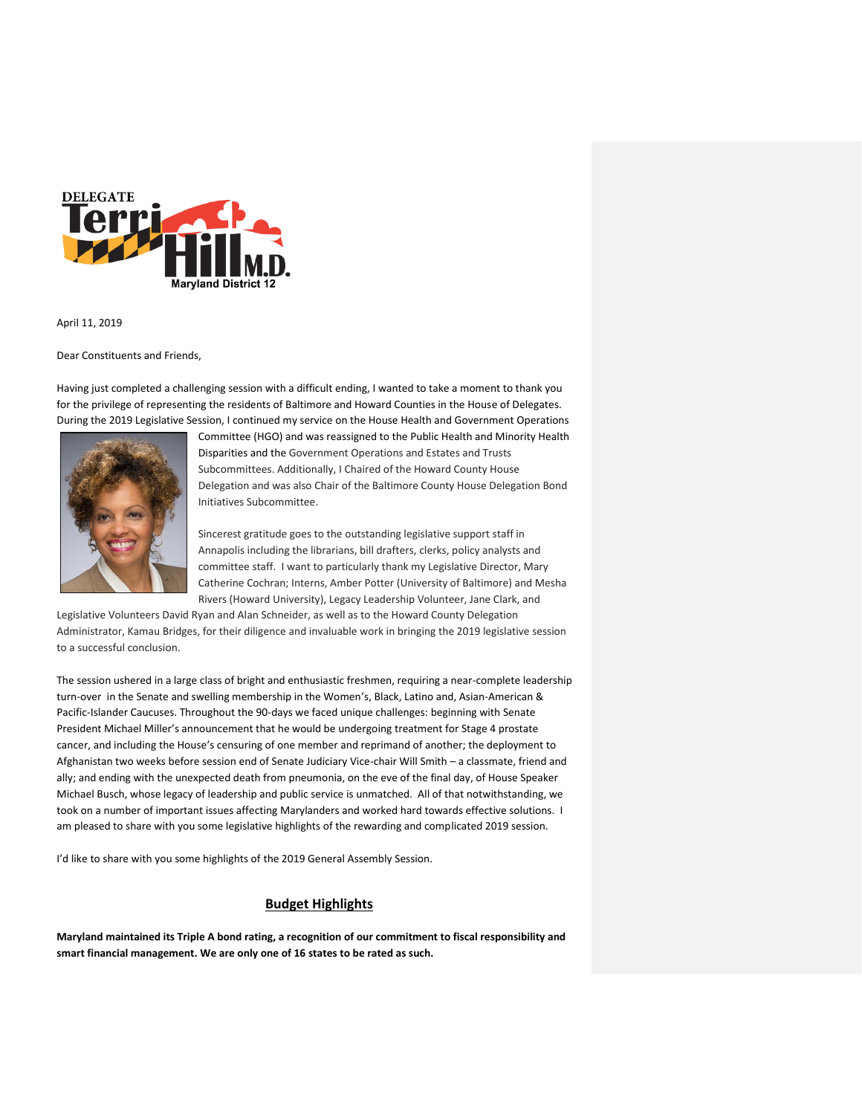

### April 11, 2019

Dear Constituents and Friends,

Having just completed a challenging session with a difficult ending, I wanted to take a moment to thank you for the privilege of representing the residents of Baltimore and Howard Counties in the House of Delegates. During the 2019 Legislative Session, I continued my service on the House Health and Government Operations



Committee (HGO) and was reassigned to the Public Health and Minority Health Disparities and the Government Operations and Estates and Trusts Subcommittees. Additionally, I Chaired of the Howard County House Delegation and was also Chair of the Baltimore County House Delegation Bond Initiatives Subcommittee.

Sincerest gratitude goes to the outstanding legislative support staff in Annapolis including the librarians, bill drafters, clerks, policy analysts and committee staff. I want to particularly thank my Legislative Director, Mary Catherine Cochran; Interns, Amber Potter (University of Baltimore) and Mesha Rivers (Howard University), Legacy Leadership Volunteer, Jane Clark, and

Legislative Volunteers David Ryan and Alan Schneider, as well as to the Howard County Delegation Administrator, Kamau Bridges, for their diligence and invaluable work in bringing the 2019 legislative session to a successful conclusion.

The session ushered in a large class of bright and enthusiastic freshmen, requiring a near-complete leadership turn-over in the Senate and swelling membership in the Women's, Black, Latino and, Asian-American & Pacific-Islander Caucuses. Throughout the 90-days we faced unique challenges: beginning with Senate President Michael Miller's announcement that he would be undergoing treatment for Stage 4 prostate cancer, and including the House's censuring of one member and reprimand of another; the deployment to Afghanistan two weeks before session end of Senate Judiciary Vice-chair Will Smith – a classmate, friend and ally; and ending with the unexpected death from pneumonia, on the eve of the final day, of House Speaker Michael Busch, whose legacy of leadership and public service is unmatched. All of that notwithstanding, we took on a number of important issues affecting Marylanders and worked hard towards effective solutions. I am pleased to share with you some legislative highlights of the rewarding and complicated 2019 session.

I'd like to share with you some highlights of the 2019 General Assembly Session.

# **Budget Highlights**

**Maryland maintained its Triple A bond rating, a recognition of our commitment to fiscal responsibility and smart financial management. We are only one of 16 states to be rated as such.**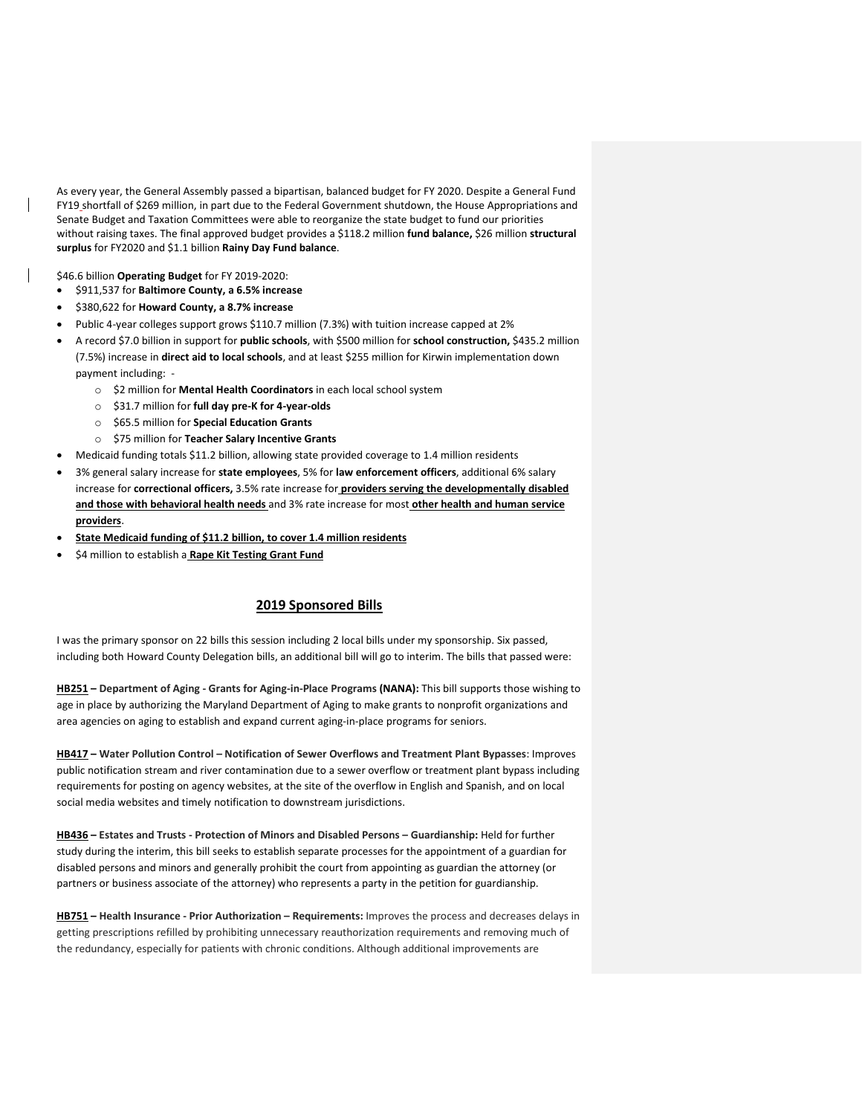As every year, the General Assembly passed a bipartisan, balanced budget for FY 2020. Despite a General Fund FY19 shortfall of \$269 million, in part due to the Federal Government shutdown, the House Appropriations and Senate Budget and Taxation Committees were able to reorganize the state budget to fund our priorities without raising taxes. The final approved budget provides a \$118.2 million **fund balance,** \$26 million **structural surplus** for FY2020 and \$1.1 billion **Rainy Day Fund balance**.

\$46.6 billion **Operating Budget** for FY 2019-2020:

- \$911,537 for **Baltimore County, a 6.5% increase**
- \$380,622 for **Howard County, a 8.7% increase**
- Public 4-year colleges support grows \$110.7 million (7.3%) with tuition increase capped at 2%
- A record \$7.0 billion in support for **public schools**, with \$500 million for **school construction,** \$435.2 million (7.5%) increase in **direct aid to local schools**, and at least \$255 million for Kirwin implementation down payment including:
	- o \$2 million for **Mental Health Coordinators** in each local school system
	- o \$31.7 million for **full day pre-K for 4-year-olds**
	- o \$65.5 million for **Special Education Grants**
	- o \$75 million for **Teacher Salary Incentive Grants**
- Medicaid funding totals \$11.2 billion, allowing state provided coverage to 1.4 million residents
- 3% general salary increase for **state employees**, 5% for **law enforcement officers**, additional 6% salary increase for **correctional officers,** 3.5% rate increase for **providers serving the developmentally disabled and those with behavioral health needs** and 3% rate increase for most **other health and human service providers**.
- **State Medicaid funding of \$11.2 billion, to cover 1.4 million residents**
- \$4 million to establish a **Rape Kit Testing Grant Fund**

## **2019 Sponsored Bills**

I was the primary sponsor on 22 bills this session including 2 local bills under my sponsorship. Six passed, including both Howard County Delegation bills, an additional bill will go to interim. The bills that passed were:

**HB251 – Department of Aging - Grants for Aging-in-Place Programs (NANA):** This bill supports those wishing to age in place by authorizing the Maryland Department of Aging to make grants to nonprofit organizations and area agencies on aging to establish and expand current aging-in-place programs for seniors.

**HB417 – Water Pollution Control – Notification of Sewer Overflows and Treatment Plant Bypasses**: Improves public notification stream and river contamination due to a sewer overflow or treatment plant bypass including requirements for posting on agency websites, at the site of the overflow in English and Spanish, and on local social media websites and timely notification to downstream jurisdictions.

**HB436 – Estates and Trusts - Protection of Minors and Disabled Persons – Guardianship:** Held for further study during the interim, this bill seeks to establish separate processes for the appointment of a guardian for disabled persons and minors and generally prohibit the court from appointing as guardian the attorney (or partners or business associate of the attorney) who represents a party in the petition for guardianship.

**HB751 – Health Insurance - Prior Authorization – Requirements:** Improves the process and decreases delays in getting prescriptions refilled by prohibiting unnecessary reauthorization requirements and removing much of the redundancy, especially for patients with chronic conditions. Although additional improvements are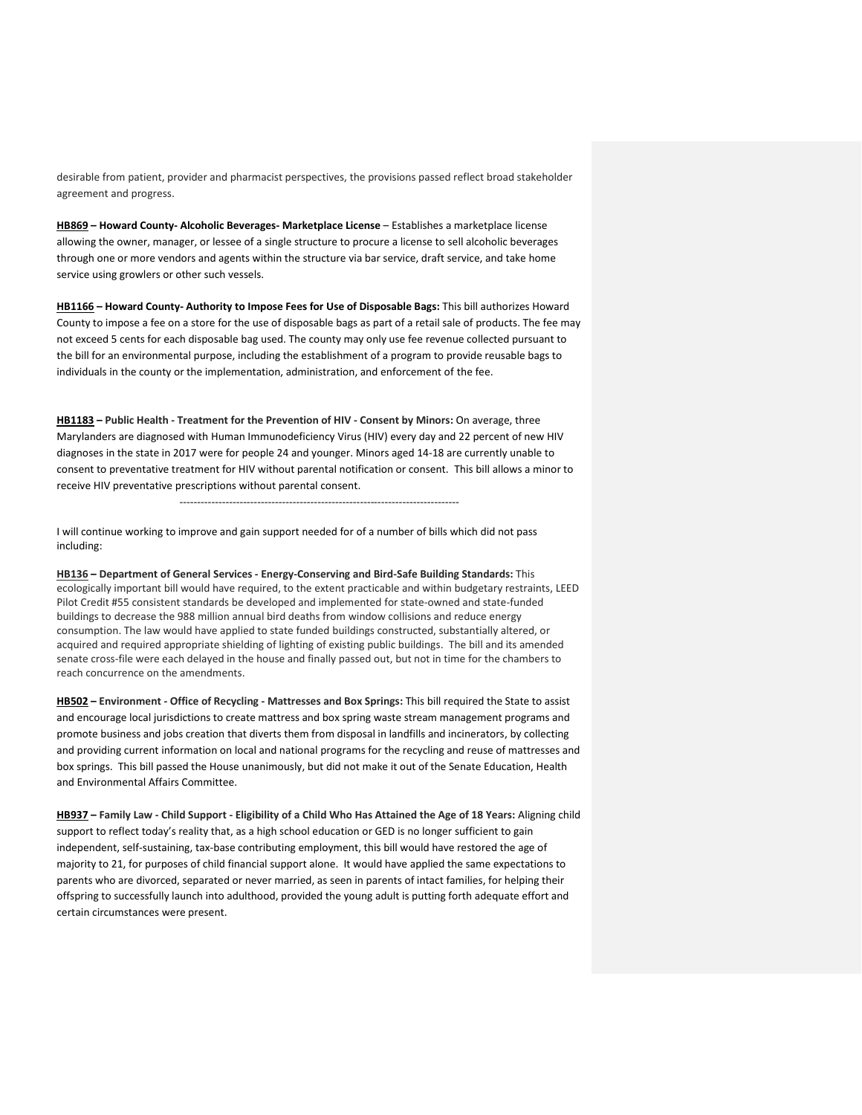desirable from patient, provider and pharmacist perspectives, the provisions passed reflect broad stakeholder agreement and progress.

**HB869 – Howard County- Alcoholic Beverages- Marketplace License** – Establishes a marketplace license allowing the owner, manager, or lessee of a single structure to procure a license to sell alcoholic beverages through one or more vendors and agents within the structure via bar service, draft service, and take home service using growlers or other such vessels.

**HB1166 – Howard County- Authority to Impose Fees for Use of Disposable Bags:** This bill authorizes Howard County to impose a fee on a store for the use of disposable bags as part of a retail sale of products. The fee may not exceed 5 cents for each disposable bag used. The county may only use fee revenue collected pursuant to the bill for an environmental purpose, including the establishment of a program to provide reusable bags to individuals in the county or the implementation, administration, and enforcement of the fee.

**HB1183 – Public Health - Treatment for the Prevention of HIV - Consent by Minors:** On average, three Marylanders are diagnosed with Human Immunodeficiency Virus (HIV) every day and 22 percent of new HIV diagnoses in the state in 2017 were for people 24 and younger. Minors aged 14-18 are currently unable to consent to preventative treatment for HIV without parental notification or consent. This bill allows a minor to receive HIV preventative prescriptions without parental consent.

-------------------------------------------------------------------------------

I will continue working to improve and gain support needed for of a number of bills which did not pass including:

**HB136 – Department of General Services - Energy-Conserving and Bird-Safe Building Standards:** This ecologically important bill would have required, to the extent practicable and within budgetary restraints, LEED Pilot Credit #55 consistent standards be developed and implemented for state-owned and state-funded buildings to decrease the 988 million annual bird deaths from window collisions and reduce energy consumption. The law would have applied to state funded buildings constructed, substantially altered, or acquired and required appropriate shielding of lighting of existing public buildings. The bill and its amended senate cross-file were each delayed in the house and finally passed out, but not in time for the chambers to reach concurrence on the amendments.

**HB502 – Environment - Office of Recycling - Mattresses and Box Springs:** This bill required the State to assist and encourage local jurisdictions to create mattress and box spring waste stream management programs and promote business and jobs creation that diverts them from disposal in landfills and incinerators, by collecting and providing current information on local and national programs for the recycling and reuse of mattresses and box springs. This bill passed the House unanimously, but did not make it out of the Senate Education, Health and Environmental Affairs Committee.

**HB937 – Family Law - Child Support - Eligibility of a Child Who Has Attained the Age of 18 Years:** Aligning child support to reflect today's reality that, as a high school education or GED is no longer sufficient to gain independent, self-sustaining, tax-base contributing employment, this bill would have restored the age of majority to 21, for purposes of child financial support alone. It would have applied the same expectations to parents who are divorced, separated or never married, as seen in parents of intact families, for helping their offspring to successfully launch into adulthood, provided the young adult is putting forth adequate effort and certain circumstances were present.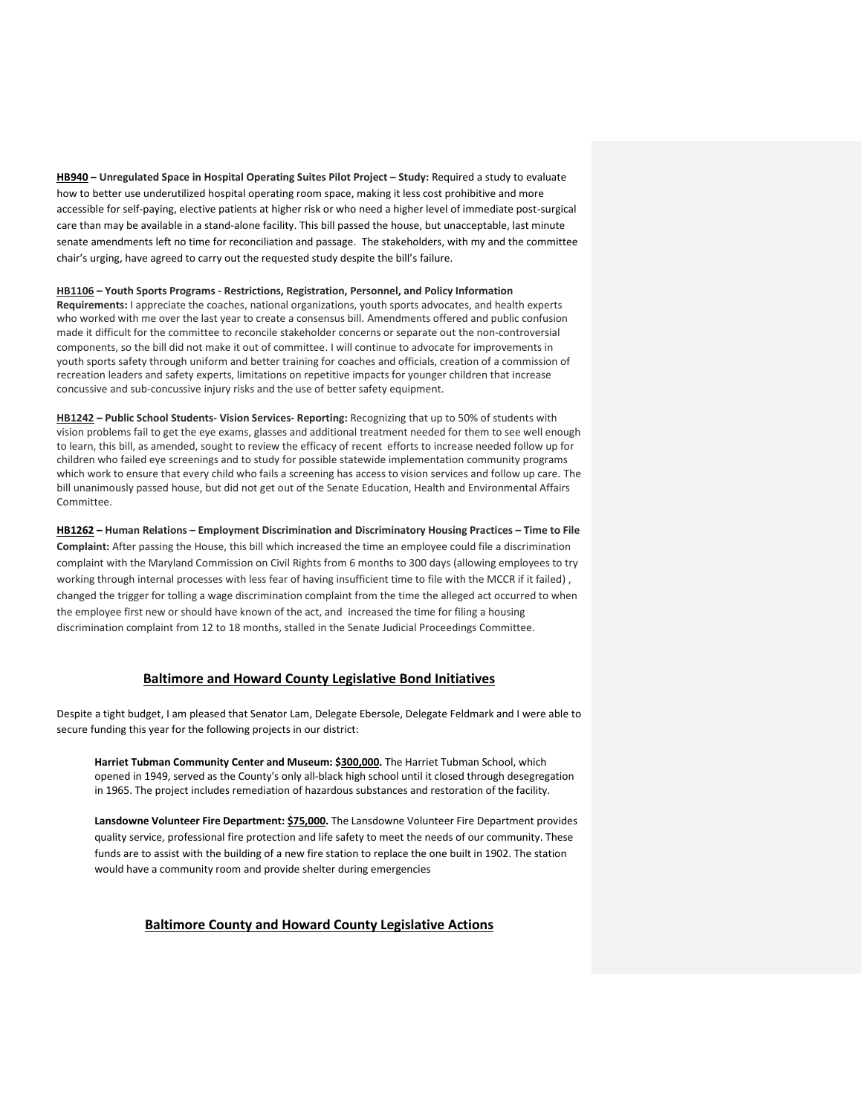**HB940 – Unregulated Space in Hospital Operating Suites Pilot Project – Study:** Required a study to evaluate how to better use underutilized hospital operating room space, making it less cost prohibitive and more accessible for self-paying, elective patients at higher risk or who need a higher level of immediate post-surgical care than may be available in a stand-alone facility. This bill passed the house, but unacceptable, last minute senate amendments left no time for reconciliation and passage. The stakeholders, with my and the committee chair's urging, have agreed to carry out the requested study despite the bill's failure.

#### **HB1106 – Youth Sports Programs - Restrictions, Registration, Personnel, and Policy Information**

**Requirements:** I appreciate the coaches, national organizations, youth sports advocates, and health experts who worked with me over the last year to create a consensus bill. Amendments offered and public confusion made it difficult for the committee to reconcile stakeholder concerns or separate out the non-controversial components, so the bill did not make it out of committee. I will continue to advocate for improvements in youth sports safety through uniform and better training for coaches and officials, creation of a commission of recreation leaders and safety experts, limitations on repetitive impacts for younger children that increase concussive and sub-concussive injury risks and the use of better safety equipment.

**HB1242 – Public School Students- Vision Services- Reporting:** Recognizing that up to 50% of students with vision problems fail to get the eye exams, glasses and additional treatment needed for them to see well enough to learn, this bill, as amended, sought to review the efficacy of recent efforts to increase needed follow up for children who failed eye screenings and to study for possible statewide implementation community programs which work to ensure that every child who fails a screening has access to vision services and follow up care. The bill unanimously passed house, but did not get out of the Senate Education, Health and Environmental Affairs Committee.

**HB1262 – Human Relations – Employment Discrimination and Discriminatory Housing Practices – Time to File Complaint:** After passing the House, this bill which increased the time an employee could file a discrimination complaint with the Maryland Commission on Civil Rights from 6 months to 300 days (allowing employees to try working through internal processes with less fear of having insufficient time to file with the MCCR if it failed), changed the trigger for tolling a wage discrimination complaint from the time the alleged act occurred to when the employee first new or should have known of the act, and increased the time for filing a housing discrimination complaint from 12 to 18 months, stalled in the Senate Judicial Proceedings Committee.

## **Baltimore and Howard County Legislative Bond Initiatives**

Despite a tight budget, I am pleased that Senator Lam, Delegate Ebersole, Delegate Feldmark and I were able to secure funding this year for the following projects in our district:

**Harriet Tubman Community Center and Museum: \$300,000.** The Harriet Tubman School, which opened in 1949, served as the County's only all-black high school until it closed through desegregation in 1965. The project includes remediation of hazardous substances and restoration of the facility.

**Lansdowne Volunteer Fire Department: \$75,000.** The Lansdowne Volunteer Fire Department provides quality service, professional fire protection and life safety to meet the needs of our community. These funds are to assist with the building of a new fire station to replace the one built in 1902. The station would have a community room and provide shelter during emergencies

## **Baltimore County and Howard County Legislative Actions**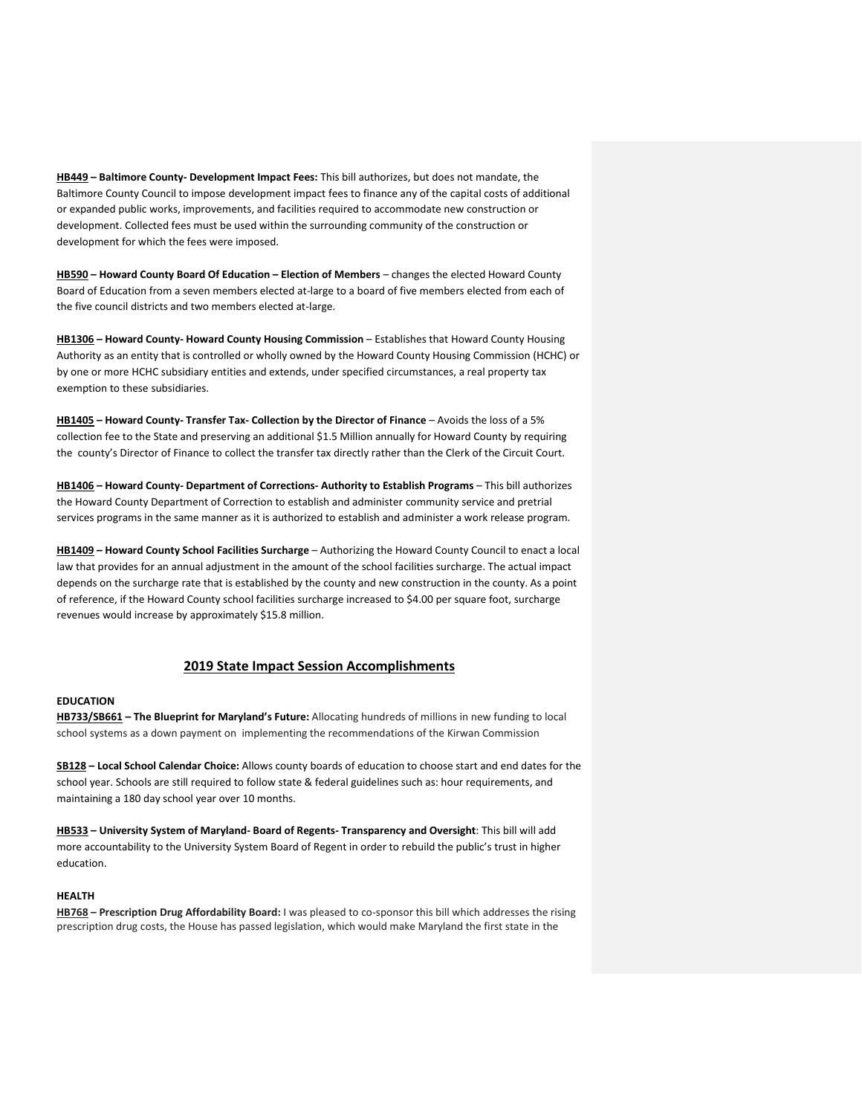**HB449 – Baltimore County- Development Impact Fees:** This bill authorizes, but does not mandate, the Baltimore County Council to impose development impact fees to finance any of the capital costs of additional or expanded public works, improvements, and facilities required to accommodate new construction or development. Collected fees must be used within the surrounding community of the construction or development for which the fees were imposed.

**HB590 – Howard County Board Of Education – Election of Members** – changes the elected Howard County Board of Education from a seven members elected at-large to a board of five members elected from each of the five council districts and two members elected at-large.

**HB1306 – Howard County- Howard County Housing Commission** – Establishes that Howard County Housing Authority as an entity that is controlled or wholly owned by the Howard County Housing Commission (HCHC) or by one or more HCHC subsidiary entities and extends, under specified circumstances, a real property tax exemption to these subsidiaries.

**HB1405 – Howard County- Transfer Tax- Collection by the Director of Finance** – Avoids the loss of a 5% collection fee to the State and preserving an additional \$1.5 Million annually for Howard County by requiring the county's Director of Finance to collect the transfer tax directly rather than the Clerk of the Circuit Court.

**HB1406 – Howard County- Department of Corrections- Authority to Establish Programs** – This bill authorizes the Howard County Department of Correction to establish and administer community service and pretrial services programs in the same manner as it is authorized to establish and administer a work release program.

**HB1409 – Howard County School Facilities Surcharge** – Authorizing the Howard County Council to enact a local law that provides for an annual adjustment in the amount of the school facilities surcharge. The actual impact depends on the surcharge rate that is established by the county and new construction in the county. As a point of reference, if the Howard County school facilities surcharge increased to \$4.00 per square foot, surcharge revenues would increase by approximately \$15.8 million.

# **2019 State Impact Session Accomplishments**

## **EDUCATION**

**HB733/SB661 – The Blueprint for Maryland's Future:** Allocating hundreds of millions in new funding to local school systems as a down payment on implementing the recommendations of the Kirwan Commission

**SB128 – Local School Calendar Choice:** Allows county boards of education to choose start and end dates for the school year. Schools are still required to follow state & federal guidelines such as: hour requirements, and maintaining a 180 day school year over 10 months.

**HB533 – University System of Maryland- Board of Regents- Transparency and Oversight**: This bill will add more accountability to the University System Board of Regent in order to rebuild the public's trust in higher education.

### **HEALTH**

**HB768 – Prescription Drug Affordability Board:** I was pleased to co-sponsor this bill which addresses the rising prescription drug costs, the House has passed legislation, which would make Maryland the first state in the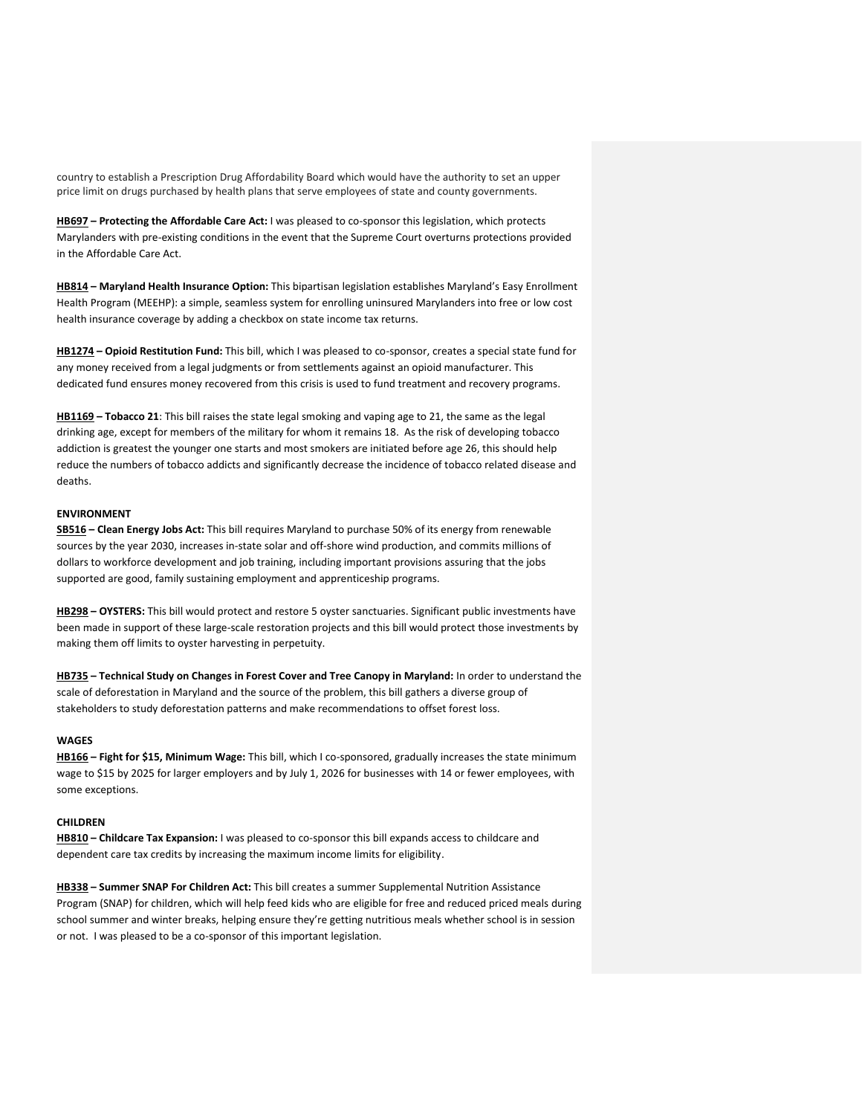country to establish a Prescription Drug Affordability Board which would have the authority to set an upper price limit on drugs purchased by health plans that serve employees of state and county governments.

**HB697 – Protecting the Affordable Care Act:** I was pleased to co-sponsor this legislation, which protects Marylanders with pre-existing conditions in the event that the Supreme Court overturns protections provided in the Affordable Care Act.

**HB814 – Maryland Health Insurance Option:** This bipartisan legislation establishes Maryland's Easy Enrollment Health Program (MEEHP): a simple, seamless system for enrolling uninsured Marylanders into free or low cost health insurance coverage by adding a checkbox on state income tax returns.

**HB1274 – Opioid Restitution Fund:** This bill, which I was pleased to co-sponsor, creates a special state fund for any money received from a legal judgments or from settlements against an opioid manufacturer. This dedicated fund ensures money recovered from this crisis is used to fund treatment and recovery programs.

**HB1169 – Tobacco 21**: This bill raises the state legal smoking and vaping age to 21, the same as the legal drinking age, except for members of the military for whom it remains 18. As the risk of developing tobacco addiction is greatest the younger one starts and most smokers are initiated before age 26, this should help reduce the numbers of tobacco addicts and significantly decrease the incidence of tobacco related disease and deaths.

### **ENVIRONMENT**

**SB516 – Clean Energy Jobs Act:** This bill requires Maryland to purchase 50% of its energy from renewable sources by the year 2030, increases in-state solar and off-shore wind production, and commits millions of dollars to workforce development and job training, including important provisions assuring that the jobs supported are good, family sustaining employment and apprenticeship programs.

**HB298 – OYSTERS:** This bill would protect and restore 5 oyster sanctuaries. Significant public investments have been made in support of these large-scale restoration projects and this bill would protect those investments by making them off limits to oyster harvesting in perpetuity.

**HB735 – Technical Study on Changes in Forest Cover and Tree Canopy in Maryland:** In order to understand the scale of deforestation in Maryland and the source of the problem, this bill gathers a diverse group of stakeholders to study deforestation patterns and make recommendations to offset forest loss.

### **WAGES**

**HB166 – Fight for \$15, Minimum Wage:** This bill, which I co-sponsored, gradually increases the state minimum wage to \$15 by 2025 for larger employers and by July 1, 2026 for businesses with 14 or fewer employees, with some exceptions.

### **CHILDREN**

**HB810 – Childcare Tax Expansion:** I was pleased to co-sponsor this bill expands access to childcare and dependent care tax credits by increasing the maximum income limits for eligibility.

**HB338 – Summer SNAP For Children Act:** This bill creates a summer Supplemental Nutrition Assistance Program (SNAP) for children, which will help feed kids who are eligible for free and reduced priced meals during school summer and winter breaks, helping ensure they're getting nutritious meals whether school is in session or not. I was pleased to be a co-sponsor of this important legislation.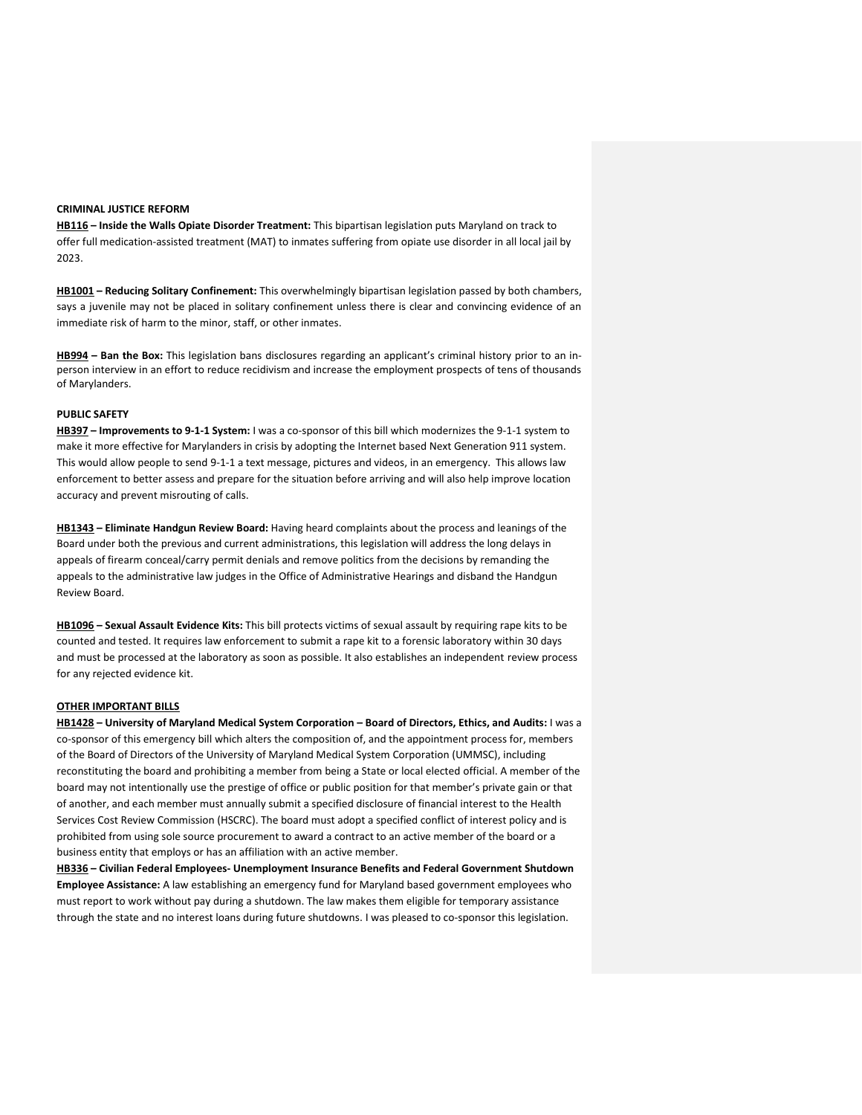### **CRIMINAL JUSTICE REFORM**

**HB116 – Inside the Walls Opiate Disorder Treatment:** This bipartisan legislation puts Maryland on track to offer full medication-assisted treatment (MAT) to inmates suffering from opiate use disorder in all local jail by 2023.

**HB1001 – Reducing Solitary Confinement:** This overwhelmingly bipartisan legislation passed by both chambers, says a juvenile may not be placed in solitary confinement unless there is clear and convincing evidence of an immediate risk of harm to the minor, staff, or other inmates.

**HB994 – Ban the Box:** This legislation bans disclosures regarding an applicant's criminal history prior to an inperson interview in an effort to reduce recidivism and increase the employment prospects of tens of thousands of Marylanders.

#### **PUBLIC SAFETY**

**HB397 – Improvements to 9-1-1 System:** I was a co-sponsor of this bill which modernizes the 9-1-1 system to make it more effective for Marylanders in crisis by adopting the Internet based Next Generation 911 system. This would allow people to send 9-1-1 a text message, pictures and videos, in an emergency. This allows law enforcement to better assess and prepare for the situation before arriving and will also help improve location accuracy and prevent misrouting of calls.

**HB1343 – Eliminate Handgun Review Board:** Having heard complaints about the process and leanings of the Board under both the previous and current administrations, this legislation will address the long delays in appeals of firearm conceal/carry permit denials and remove politics from the decisions by remanding the appeals to the administrative law judges in the Office of Administrative Hearings and disband the Handgun Review Board.

**HB1096 – Sexual Assault Evidence Kits:** This bill protects victims of sexual assault by requiring rape kits to be counted and tested. It requires law enforcement to submit a rape kit to a forensic laboratory within 30 days and must be processed at the laboratory as soon as possible. It also establishes an independent review process for any rejected evidence kit.

#### **OTHER IMPORTANT BILLS**

**HB1428 – University of Maryland Medical System Corporation – Board of Directors, Ethics, and Audits:** I was a co-sponsor of this emergency bill which alters the composition of, and the appointment process for, members of the Board of Directors of the University of Maryland Medical System Corporation (UMMSC), including reconstituting the board and prohibiting a member from being a State or local elected official. A member of the board may not intentionally use the prestige of office or public position for that member's private gain or that of another, and each member must annually submit a specified disclosure of financial interest to the Health Services Cost Review Commission (HSCRC). The board must adopt a specified conflict of interest policy and is prohibited from using sole source procurement to award a contract to an active member of the board or a business entity that employs or has an affiliation with an active member.

**HB336 – Civilian Federal Employees- Unemployment Insurance Benefits and Federal Government Shutdown Employee Assistance:** A law establishing an emergency fund for Maryland based government employees who must report to work without pay during a shutdown. The law makes them eligible for temporary assistance through the state and no interest loans during future shutdowns. I was pleased to co-sponsor this legislation.